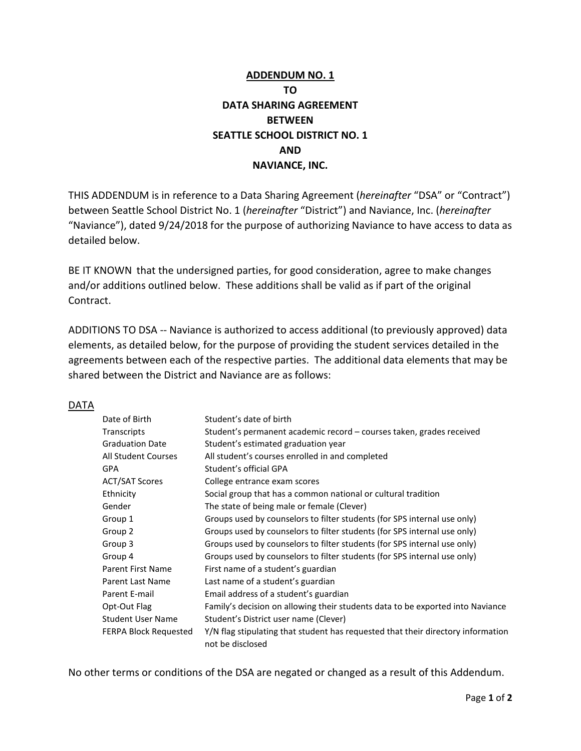## **ADDENDUM NO. 1 TO DATA SHARING AGREEMENT BETWEEN SEATTLE SCHOOL DISTRICT NO. 1 AND NAVIANCE, INC.**

THIS ADDENDUM is in reference to a Data Sharing Agreement (*hereinafter* "DSA" or "Contract") between Seattle School District No. 1 (*hereinafter* "District") and Naviance, Inc. (*hereinafter* "Naviance"), dated 9/24/2018 for the purpose of authorizing Naviance to have access to data as detailed below.

BE IT KNOWN that the undersigned parties, for good consideration, agree to make changes and/or additions outlined below. These additions shall be valid as if part of the original Contract.

ADDITIONS TO DSA -- Naviance is authorized to access additional (to previously approved) data elements, as detailed below, for the purpose of providing the student services detailed in the agreements between each of the respective parties. The additional data elements that may be shared between the District and Naviance are as follows:

## DATA

| Date of Birth          | Student's date of birth                                                                              |
|------------------------|------------------------------------------------------------------------------------------------------|
| Transcripts            | Student's permanent academic record – courses taken, grades received                                 |
| <b>Graduation Date</b> | Student's estimated graduation year                                                                  |
| All Student Courses    | All student's courses enrolled in and completed                                                      |
| <b>GPA</b>             | Student's official GPA                                                                               |
| ACT/SAT Scores         | College entrance exam scores                                                                         |
| Ethnicity              | Social group that has a common national or cultural tradition                                        |
| Gender                 | The state of being male or female (Clever)                                                           |
| Group 1                | Groups used by counselors to filter students (for SPS internal use only)                             |
| Group 2                | Groups used by counselors to filter students (for SPS internal use only)                             |
| Group 3                | Groups used by counselors to filter students (for SPS internal use only)                             |
| Group 4                | Groups used by counselors to filter students (for SPS internal use only)                             |
| Parent First Name      | First name of a student's guardian                                                                   |
| Parent Last Name       | Last name of a student's guardian                                                                    |
| Parent E-mail          | Email address of a student's guardian                                                                |
| Opt-Out Flag           | Family's decision on allowing their students data to be exported into Naviance                       |
| Student User Name      | Student's District user name (Clever)                                                                |
| FERPA Block Requested  | Y/N flag stipulating that student has requested that their directory information<br>not be disclosed |

No other terms or conditions of the DSA are negated or changed as a result of this Addendum.